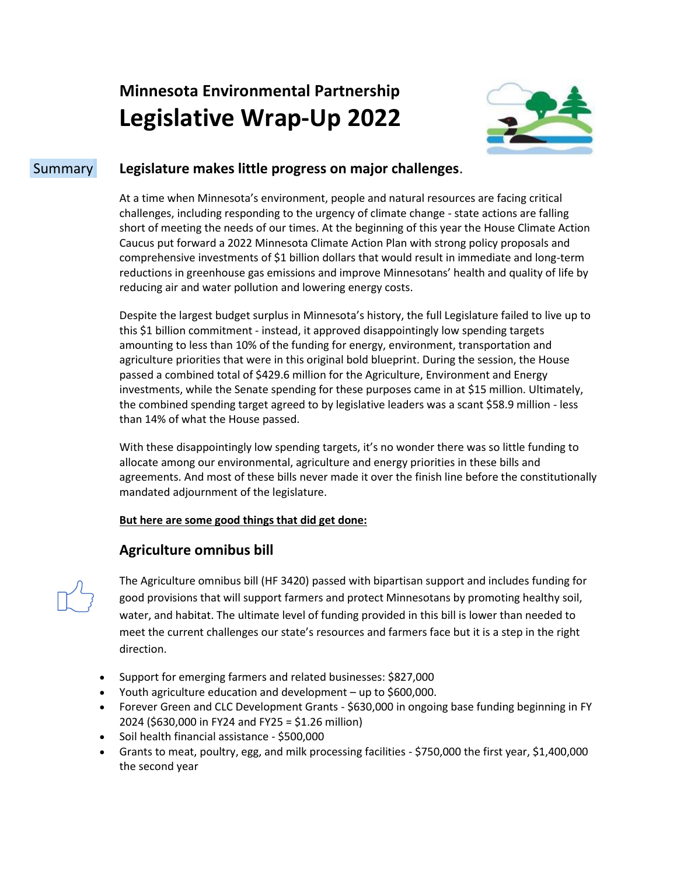# **Minnesota Environmental Partnership Legislative Wrap-Up 2022**



## Summary **Legislature makes little progress on major challenges**.

At a time when Minnesota's environment, people and natural resources are facing critical challenges, including responding to the urgency of climate change - state actions are falling short of meeting the needs of our times. At the beginning of this year the House Climate Action Caucus put forward a 2022 Minnesota Climate Action Plan with strong policy proposals and comprehensive investments of \$1 billion dollars that would result in immediate and long-term reductions in greenhouse gas emissions and improve Minnesotans' health and quality of life by reducing air and water pollution and lowering energy costs.

Despite the largest budget surplus in Minnesota's history, the full Legislature failed to live up to this \$1 billion commitment - instead, it approved disappointingly low spending targets amounting to less than 10% of the funding for energy, environment, transportation and agriculture priorities that were in this original bold blueprint. During the session, the House passed a combined total of \$429.6 million for the Agriculture, Environment and Energy investments, while the Senate spending for these purposes came in at \$15 million. Ultimately, the combined spending target agreed to by legislative leaders was a scant \$58.9 million - less than 14% of what the House passed.

With these disappointingly low spending targets, it's no wonder there was so little funding to allocate among our environmental, agriculture and energy priorities in these bills and agreements. And most of these bills never made it over the finish line before the constitutionally mandated adjournment of the legislature.

#### **But here are some good things that did get done:**

### **Agriculture omnibus bill**



The Agriculture omnibus bill (HF 3420) passed with bipartisan support and includes funding for good provisions that will support farmers and protect Minnesotans by promoting healthy soil, water, and habitat. The ultimate level of funding provided in this bill is lower than needed to meet the current challenges our state's resources and farmers face but it is a step in the right direction.

- Support for emerging farmers and related businesses: \$827,000
- Youth agriculture education and development up to \$600,000.
- Forever Green and CLC Development Grants \$630,000 in ongoing base funding beginning in FY 2024 (\$630,000 in FY24 and FY25 = \$1.26 million)
- Soil health financial assistance \$500,000
- Grants to meat, poultry, egg, and milk processing facilities \$750,000 the first year, \$1,400,000 the second year